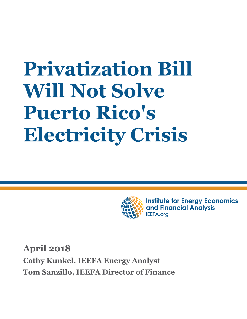# **Privatization Bill Will Not Solve Puerto Rico's Electricity Crisis**



**Institute for Energy Economics** and Financial Analysis **IEEFA.org** 

**April 2018 Cathy Kunkel, IEEFA Energy Analyst Tom Sanzillo, IEEFA Director of Finance**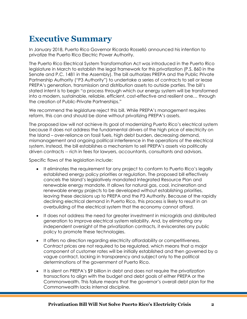## **Executive Summary**

In January 2018, Puerto Rico Governor Ricardo Rosselló announced his intention to privatize the Puerto Rico Electric Power Authority.

The Puerto Rico Electrical System Transformation Act was introduced in the Puerto Rico legislature in March to establish the legal framework for this privatization (P.S. 860 in the Senate and P.C. 1481 in the Assembly). The bill authorizes PREPA and the Public Private Partnership Authority ("P3 Authority") to undertake a series of contracts to sell or lease PREPA's generation, transmission and distribution assets to outside parties. The bill's stated intent is to begin "a process through which our energy system will be transformed into a modern, sustainable, reliable, efficient, cost-effective and resilient one… through the creation of Public-Private Partnerships."

We recommend the legislature reject this bill. While PREPA's management requires reform, this can and should be done without privatizing PREPA's assets.

The proposed law will not achieve its goal of modernizing Puerto Rico's electrical system because it does not address the fundamental drivers of the high price of electricity on the Island – over-reliance on fossil fuels, high debt burden, decreasing demand, mismanagement and ongoing political interference in the operations of the electrical system. Instead, the bill establishes a mechanism to sell PREPA's assets via politically driven contracts -- rich in fees for lawyers, accountants, consultants and advisors.

Specific flaws of the legislation include:

- It eliminates the requirement for any project to conform to Puerto Rico's legally established energy policy priorities or regulation. The proposed bill effectively cancels the Island's legislatively mandated Integrated Resource Plan and renewable energy mandate. It allows for natural gas, coal, incineration and renewable energy projects to be developed without establishing priorities, leaving these decisions up to PREPA and the P3 Authority. Because of the rapidly declining electrical demand in Puerto Rico, this process is likely to result in an overbuilding of the electrical system that the economy cannot afford.
- It does not address the need for greater investment in microgrids and distributed generation to improve electrical system reliability. And, by eliminating any independent oversight of the privatization contracts, it eviscerates any public policy to promote these technologies.
- It offers no direction regarding electricity affordability or competitiveness. Contract prices are not required to be regulated, which means that a major component of customer rates will be initially established and then governed by a vague contract, lacking in transparency and subject only to the political determinations of the government of Puerto Rico.
- It is silent on PREPA's \$9 billion in debt and does not require the privatization transactions to align with the budget and debt goals of either PREPA or the Commonwealth. This failure means that the governor's overall debt plan for the Commonwealth lacks internal discipline.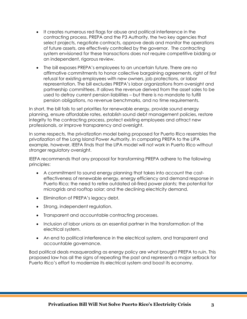- It creates numerous red flags for abuse and political interference in the contracting process. PREPA and the P3 Authority, the two key agencies that select projects, negotiate contracts, approve deals and monitor the operations of future assets, are effectively controlled by the governor. The contracting system envisioned for these transactions does not require competitive bidding or an independent, rigorous review.
- The bill exposes PREPA's employees to an uncertain future. There are no affirmative commitments to honor collective bargaining agreements, right of first refusal for existing employees with new owners, job protections, or labor representation. The bill excludes PREPA's labor organizations from oversight and partnership committees. It allows the revenue derived from the asset sales to be used to defray current pension liabilities – but there is no mandate to fulfill pension obligations, no revenue benchmarks, and no time requirements.

In short, the bill fails to set priorities for renewable energy, provide sound energy planning, ensure affordable rates, establish sound debt management policies, restore integrity to the contracting process, protect existing employees and attract new professionals, or improve transparency and oversight.

In some respects, the privatization model being proposed for Puerto Rico resembles the privatization of the Long Island Power Authority. In comparing PREPA to the LIPA example, however, IEEFA finds that the LIPA model will not work in Puerto Rico without stronger regulatory oversight.

IEEFA recommends that any proposal for transforming PREPA adhere to the following principles:

- A commitment to sound energy planning that takes into account the costeffectiveness of renewable energy, energy efficiency and demand response in Puerto Rico; the need to retire outdated oil-fired power plants; the potential for microgrids and rooftop solar; and the declining electricity demand.
- Elimination of PREPA's legacy debt.
- Strong, independent regulation.
- Transparent and accountable contracting processes.
- Inclusion of labor unions as an essential partner in the transformation of the electrical system.
- An end to political interference in the electrical system, and transparent and accountable governance.

Bad political deals masquerading as energy policy are what brought PREPA to ruin. This proposed law has all the signs of repeating the past and represents a major setback for Puerto Rico's effort to modernize its electrical system and boost its economy.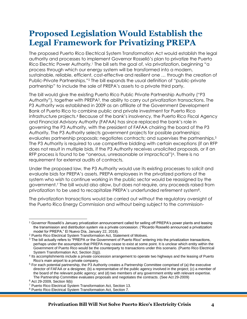## **Proposed Legislation Would Establish the Legal Framework for Privatizing PREPA**

The proposed Puerto Rico Electrical System Transformation Act would establish the legal authority and processes to implement Governor Rosselló's plan to privatize the Puerto Rico Electric Power Authority.<sup>1</sup> The bill sets the goal of, via privatization, beginning "a process through which our energy system will be transformed into a modern, sustainable, reliable, efficient, cost-effective and resilient one … through the creation of Public-Private Partnerships."<sup>2</sup> The bill expands the usual definition of "public-private partnership" to include the sale of PREPA's assets to a private third party.

The bill would give the existing Puerto Rico Public Private Partnership Authority ("P3 Authority"), together with PREPA<sup>3</sup>, the ability to carry out privatization transactions. The P3 Authority was established in 2009 as an affiliate of the Government Development Bank of Puerto Rico to combine public and private investment for Puerto Rico infrastructure projects.<sup>4</sup> Because of the bank's insolvency, the Puerto Rico Fiscal Agency and Financial Advisory Authority (FAFAA) has since replaced the bank's role in governing the P3 Authority, with the president of FAFAA chairing the board of the P3 Authority. The P3 Authority selects government projects for possible partnerships; evaluates partnership proposals; negotiates contracts; and supervises the partnerships.<sup>5</sup> The P3 Authority is required to use competitive bidding with certain exceptions (if an RFP does not result in multiple bids, if the P3 Authority receives unsolicited proposals, or if an RFP process is found to be "onerous, unreasonable or impractical")<sup>6</sup>. There is no requirement for external audits of contracts.

Under the proposed law, the P3 Authority would use its existing processes to solicit and evaluate bids for PREPA's assets. PREPA employees in the privatized portions of the system who wish to continue working in the public sector would be reassigned by the government.<sup>7</sup> The bill would also allow, but does not require, any proceeds raised from privatization to be used to recapitalize PREPA's underfunded retirement system<sup>8</sup> .

The privatization transactions would be carried out without the regulatory oversight of the Puerto Rico Energy Commission and without being subject to the commission-

<sup>1</sup> Governor Rosselló's January privatization announcement called for selling off PREPA's power plants and leasing the transmission and distribution system via a private concession. ("Ricardo Rosselló announced a privatization model for PREPA," El Nuevo Día, January 22, 2018).

<sup>2</sup> Puerto Rico Electrical System Transformation Act, Statement of Motives.

<sup>&</sup>lt;sup>3</sup> The bill actually refers to "PREPA or the Government of Puerto Rico" entering into the privatization transactions, perhaps under the assumption that PREPA may cease to exist at some point. It is unclear which entity within the Government of Puerto Rico would be the counterparty to transactions under this scenario. (Puerto Rico Electrical System Transformation Act, Section 2(g)).

<sup>4</sup> Its accomplishments include a private concession arrangement to operate two highways and the leasing of Puerto Rico's main airport to a private company.

<sup>5</sup> For each potential partnership, the P3 Authority creates a Partnership Committee comprised of (a) the executive director of FAFAA or a designee; (b) a representative of the public agency involved in the project; (c) a member of the board of the relevant public agency; and (d) two members of any government entity with relevant expertise. The Partnership Committee evaluates proposals and negotiates the contracts. (See Act 29-2009)

<sup>6</sup> Act 29-2009, Section 9(b)

<sup>7</sup> Puerto Rico Electrical System Transformation Act, Section 13.

<sup>8</sup> Puerto Rico Electrical System Transformation Act, Section 7.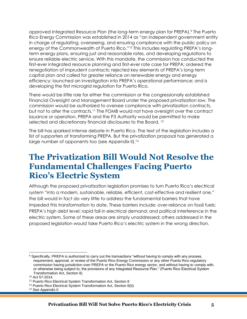approved Integrated Resource Plan (the long-term energy plan for PREPA).<sup>9</sup> The Puerto Rico Energy Commission was established in 2014 as "an independent government entity in charge of regulating, overseeing, and ensuring compliance with the public policy on energy of the Commonwealth of Puerto Rico."<sup>10</sup> This includes regulating PREPA's longterm energy plans, ensuring just and reasonable rates, and developing regulations to ensure reliable electric service. With this mandate, the commission has conducted the first-ever integrated resource planning and first-ever rate case for PREPA; ordered the renegotiation of imprudent contracts; rejected key elements of PREPA's long-term capital plan and called for greater reliance on renewable energy and energy efficiency; launched an investigation into PREPA's operational performance; and is developing the first microgrid regulation for Puerto Rico.

There would be little role for either the commission or the congressionally established Financial Oversight and Management Board under the proposed privatization law. The commission would be authorized to oversee compliance with privatization contracts, but not to alter the contracts.<sup>11</sup> The FOMB would not have oversight over the contract issuance or operation. PREPA and the P3 Authority would be permitted to make selected and discretionary financial disclosures to the Board.<sup>12</sup>

The bill has sparked intense debate in Puerto Rico. The text of the legislation includes a list of supporters of transforming PREPA. But the privatization proposal has generated a large number of opponents too (see Appendix II).<sup>13</sup>

## **The Privatization Bill Would Not Resolve the Fundamental Challenges Facing Puerto Rico's Electric System**

Although the proposed privatization legislation promises to turn Puerto Rico's electrical system "into a modern, sustainable, reliable, efficient, cost-effective and resilient one," the bill would in fact do very little to address the fundamental barriers that have impeded this transformation to date. These barriers include: over-reliance on fossil fuels; PREPA's high debt level; rapid fall in electrical demand; and political interference in the electric system. Some of these areas are simply unaddressed; others addressed in the proposed legislation would take Puerto Rico's electric system in the wrong direction.

<sup>9</sup> Specifically, PREPA is authorized to carry out the transactions "without having to comply with any process, requirement, approval, or review of the Puerto Rico Energy Commission or any other Puerto Rico regulatory commission having jurisdiction over PREPA or the Puerto Rico energy sector, and without having to comply with, or otherwise being subject to, the provisions of any Integrated Resource Plan." (Puerto Rico Electrical System Transformation Act, Section 8)

<sup>10</sup> Act 57-2014.

<sup>11</sup> Puerto Rico Electrical System Transformation Act, Section 8

<sup>12</sup> Puerto Rico Electrical System Transformation Act, Section 6(b)

<sup>13</sup> See Appendix II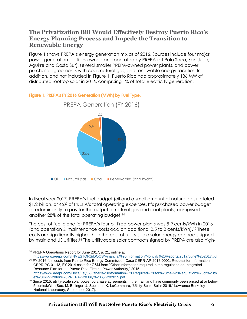#### **The Privatization Bill Would Effectively Destroy Puerto Rico's Energy Planning Process and Impede the Transition to Renewable Energy**

Figure 1 shows PREPA's energy generation mix as of 2016. Sources include four major power generation facilities owned and operated by PREPA (at Palo Seco, San Juan, Aguirre and Costa Sur), several smaller PREPA-owned power plants, and power purchase agreements with coal, natural gas, and renewable energy facilities. In addition, and not included in Figure 1, Puerto Rico had approximately 136 MW of distributed rooftop solar in 2016, comprising 1% of total electricity generation.



In fiscal year 2017, PREPA's fuel budget (oil and a small amount of natural gas) totaled \$1.2 billion, or 46% of PREPA's total operating expenses. It's purchased power budget (predominantly to pay for the output of natural gas and coal plants) comprised another 28% of the total operating budget.<sup>14</sup>

The cost of fuel alone for PREPA's four oil-fired power plants was 8-9 cents/kWh in 2016 (and operation & maintenance costs add an additional 0.5 to 2 cents/kWh).<sup>15</sup> These costs are significantly higher than the cost of utility-scale solar energy contracts signed by mainland US utilities.<sup>16</sup> The utility-scale solar contracts signed by PREPA are also high-

 $\overline{a}$ <sup>14</sup> PREPA Operations Report for June 2017, p. 21, online at https://www.aeepr.com/INVESTORS/DOCS/Financial%20Information/Monthly%20Reports/2017/June%202017.pdf

<sup>&</sup>lt;sup>15</sup> FY 2016 fuel costs from Puerto Rico Energy Commission Case CEPR-AP-2015-0001, Request for Information CEPR-PC-01-13, FY 2014 costs for O&M from "Other information required in the regulation on Integrated Resource Plan for the Puerto Rico Electric Power Authority," 2015, https://www.aeepr.com/Docs/Ley57/Other%20Information%20Required%20for%20the%20Regulation%20of%20th e%20IRP%20for%20PREPA%20July%206,%202015.pdf

<sup>&</sup>lt;sup>16</sup> Since 2015, utility-scale solar power purchase agreements in the mainland have commonly been priced at or below 5 cents/kWh. (See: M. Bolinger, J. Seel, and K. LaCommare, "Utility-Scale Solar 2016," Lawrence Berkeley National Laboratory, September 2017).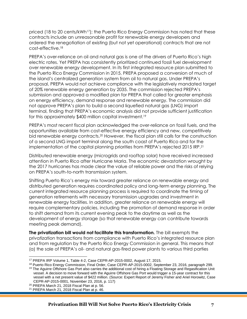priced (18 to 20 cents/kWh17); the Puerto Rico Energy Commission has noted that these contracts include an unreasonable profit for renewable energy developers and ordered the renegotiation of existing (but not yet operational) contracts that are not cost-effective.<sup>18</sup>

PREPA's over-reliance on oil and natural gas is one of the drivers of Puerto Rico's high electric rates. Yet PREPA has consistently prioritized continued fossil fuel development over renewable energy development. In its first integrated resource plan submitted to the Puerto Rico Energy Commission in 2015, PREPA proposed a conversion of much of the island's centralized generation system from oil to natural gas. Under PREPA's proposal, PREPA would not achieve compliance with the legislatively mandated target of 20% renewable energy generation by 2035. The commission rejected PREPA's submission and approved a modified plan for PREPA that called for greater emphasis on energy efficiency, demand response and renewable energy. The commission did not approve PREPA's plan to build a second liquefied natural gas (LNG) import terminal, finding that PREPA's economic analysis did not provide sufficient justification for this approximately \$400 million capital investment.<sup>19</sup>

PREPA's most recent fiscal plan acknowledged the over-reliance on fossil fuels, and the opportunities available from cost-effective energy efficiency and new, competitively bid renewable energy contracts.<sup>20</sup> However, the fiscal plan still calls for the construction of a second LNG import terminal along the south coast of Puerto Rico and for the implementation of the capital planning priorities from PREPA's rejected 2015 IRP.<sup>21</sup>

Distributed renewable energy (microgrids and rooftop solar) have received increased attention in Puerto Rico after Hurricane Maria. The economic devastation wrought by the 2017 hurricanes has made clear the value of reliable power and the risks of relying on PREPA's south-to-north transmission system.

Shifting Puerto Rico's energy mix toward greater reliance on renewable energy and distributed generation requires coordinated policy and long-term energy planning. The current integrated resource planning process is required to coordinate the timing of generation retirements with necessary transmission upgrades and investment in renewable energy facilities. In addition, greater reliance on renewable energy will require complementary policies, including the promotion of demand response in order to shift demand from its current evening peak to the daytime as well as the development of energy storage (so that renewable energy can contribute towards meeting peak demand).

**The privatization bill would not facilitate this transformation.** The bill exempts the privatization transactions from compliance with Puerto Rico's integrated resource plan and from regulation by the Puerto Rico Energy Commission in general. This means that (a) the sale of PREPA's oil- and natural gas-fired power plants to various third parties

<sup>20</sup> PREPA March 21, 2018 Fiscal Plan at p. 56.

 $\overline{a}$ 

<sup>17</sup> PREPA IRP Volume 1, Table 4-2, Case CEPR-AP-2015-0002, August 17, 2015.

<sup>18</sup> Puerto Rico Energy Commission, Final Order, Case CEPR-AP-2015-0002, September 23, 2016, paragraph 299.

<sup>&</sup>lt;sup>19</sup> The Aguirre Offshore Gas Port also carries the additional cost of hiring a Floating Storage and Regasification Unit vessel. A decision to move forward with the Aguirre Offshore Gas Port would trigger a 15-year contract for this vessel with a net present value of \$422 million. (Source: Expert Report of Jeremy Fisher and Ariel Horowitz, Case CEPR-AP-2015-0001, November 23, 2016, p. 117)

<sup>21</sup> PREPA March 21, 2018 Fiscal Plan at p. 46.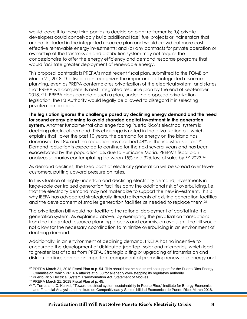would leave it to those third parties to decide on plant retirements; (b) private developers could conceivably build additional fossil fuel projects or incinerators that are not included in the integrated resource plan and would crowd out more costeffective renewable energy investments; and (c) any contracts for private operation or ownership of the transmission and distribution system may not require the concessionaire to offer the energy efficiency and demand response programs that would facilitate greater deployment of renewable energy.

This proposal contradicts PREPA's most recent fiscal plan, submitted to the FOMB on March 21, 2018. The fiscal plan recognizes the importance of integrated resource planning, even as PREPA contemplates privatization of the electrical system, and states that PREPA will complete its next integrated resource plan by the end of September 2018. <sup>22</sup> If PREPA does complete such a plan, under the proposed privatization legislation, the P3 Authority would legally be allowed to disregard it in selecting privatization projects.

**The legislation ignores the challenge posed by declining energy demand and the need for sound energy planning to avoid stranded capital investment in the generation system.** Another fundamental challenge facing Puerto Rico's electrical system is declining electrical demand. This challenge is noted in the privatization bill, which explains that "over the past 10 years, the demand for energy on the Island has decreased by 18% and the reduction has reached 48% in the industrial sector." <sup>23</sup> Demand reduction is expected to continue for the next several years and has been exacerbated by the population loss due to Hurricane Maria. PREPA's fiscal plan analyzes scenarios contemplating between 15% and 32% loss of sales by FY 2023.<sup>24</sup>

As demand declines, the fixed costs of electricity generation will be spread over fewer customers, putting upward pressure on rates.

In this situation of highly uncertain and declining electricity demand, investments in large-scale centralized generation facilities carry the additional risk of overbuilding, i.e. that the electricity demand may not materialize to support the new investment. This is why IEEFA has advocated strategically-timed retirements of existing generation facilities and the development of smaller generation facilities as needed to replace them.<sup>25</sup>

The privatization bill would not facilitate the rational deployment of capital into the generation system. As explained above, by exempting the privatization transactions from the integrated resource planning process and commission oversight, the bill would not allow for the necessary coordination to minimize overbuilding in an environment of declining demand.

Additionally, in an environment of declining demand, PREPA has no incentive to encourage the development of distributed (rooftop) solar and microgrids, which lead to greater loss of sales from PREPA. Strategic citing or upgrading of transmission and distribution lines can be an important component of promoting renewable energy and

<sup>&</sup>lt;sup>22</sup> PREPA March 21, 2018 Fiscal Plan at p. 54. This should not be construed as support for the Puerto Rico Energy Commission, which PREPA attacks at p. 60 for allegedly over-stepping its regulatory authority.

<sup>&</sup>lt;sup>23</sup> Puerto Rico Electrical System Transformation Act, Statement of Motives

<sup>24</sup> PREPA March 21, 2018 Fiscal Plan at p. 45.

<sup>&</sup>lt;sup>25</sup> T. Torres and C. Kunkel, "Toward electrical system sustainability in Puerto Rico," Institute for Energy Economics and Financial Analysis and Instituto de Competitividad y Sostenibilidad Economica de Puerto Rico, March 2018.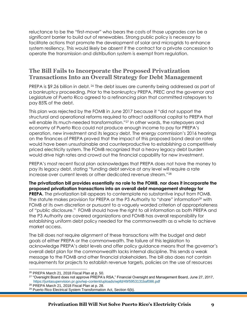reluctance to be the "first-mover" who bears the costs of those upgrades can be a significant barrier to build out of renewables. Strong public policy is necessary to facilitate actions that promote the development of solar and microgrids to enhance system resiliency. This would likely be absent if the contract for a private concession to operate the transmission and distribution system is exempt from regulation.

#### **The Bill Fails to Incorporate the Proposed Privatization Transactions Into an Overall Strategy for Debt Management**

PREPA is \$9.26 billion in debt. <sup>26</sup> The debt issues are currently being addressed as part of a bankruptcy proceeding. Prior to the bankruptcy PREPA, PREC and the governor and Legislature of Puerto Rico agreed to a refinancing plan that committed ratepayers to pay 85% of the debt.

This plan was rejected by the FOMB in June 2017 because it "did not support the structural and operational reforms required to attract additional capital to PREPA that will enable its much-needed transformation."<sup>27</sup> In other words, the ratepayers and economy of Puerto Rico could not produce enough income to pay for PREPA's operation, new investment and its legacy debt. The energy commission's 2016 hearings on the finances of PREPA proved that the impact of this proposed bond deal on rates would have been unsustainable and counterproductive to establishing a competitively priced electricity system. The FOMB recognized that a heavy legacy debt burden would drive high rates and crowd out the financial capability for new investment.

PREPA's most recent fiscal plan acknowledges that PREPA does not have the money to pay its legacy debt, stating "funding debt service at any level will require a rate increase over current levels or other dedicated revenue stream."<sup>28</sup>

**The privatization bill provides essentially no role to the FOMB, nor does it incorporate the proposed privatization transactions into an overall debt management strategy for PREPA.** The privatization bill appears to contemplate no substantive input from FOMB. The statute makes provision for PREPA or the P3 Authority to "share" information<sup>29</sup> with FOMB at its own discretion or pursuant to a vaguely worded criterion of appropriateness of "public disclosure." FOMB should have the right to all information as both PREPA and the P3 Authority are covered organizations and FOMB has overall responsibility for establishing uniform debt policy needed for the commonwealth as a whole to achieve market access.

The bill does not require alignment of these transactions with the budget and debt goals of either PREPA or the commonwealth. The failure of this legislation to acknowledge PREPA's debt levels and offer policy guidance means that the governor's overall debt plan for the commonwealth lacks internal discipline. This sends a weak message to the FOMB and other financial stakeholders. The bill also does not contain requirements for projects to establish revenue targets, policies on the use of resources

 $\overline{a}$ <sup>26</sup> PREPA March 21, 2018 Fiscal Plan at p. 50.

<sup>&</sup>lt;sup>27</sup> "Oversight Board does not approve PREPA's RSA," Financial Oversight and Management Board, June 27, 2017, https://juntasupervision.pr.gov/wp-content/uploads/wpfd/49/5953131baf086.pdf

<sup>28</sup> PREPA March 21, 2018 Fiscal Plan at p. 28.

<sup>29</sup> Puerto Rico Electrical System Transformation Act, Section 6(b).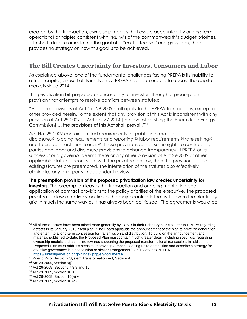created by the transaction, ownership models that assure accountability or long term operational principles consistent with PREPA's of the commonwealth's budget priorities. <sup>30</sup> In short, despite articulating the goal of a "cost-effective" energy system, the bill provides no strategy on how this goal is to be achieved.

#### **The Bill Creates Uncertainty for Investors, Consumers and Labor**

As explained above, one of the fundamental challenges facing PREPA is its inability to attract capital, a result of its insolvency. PREPA has been unable to access the capital markets since 2014.

The privatization bill perpetuates uncertainty for investors through a preemption provision that attempts to resolve conflicts between statutes:

"All of the provisions of Act No. 29-2009 shall apply to the PREPA Transactions, except as other provided herein. To the extent that any provision of this Act is inconsistent with any provision of Act 29-2009 … Act No. 57-2014 [the law establishing the Puerto Rico Energy Commission] … **the provisions of this Act shall prevail**."<sup>31</sup>

Act No. 29-2009 contains limited requirements for public information disclosure,<sup>32</sup> bidding requirements and reporting,<sup>33</sup> labor requirements,<sup>34</sup> rate setting<sup>35</sup> and future contract monitoring. 36 These provisions confer some rights to contracting parties and labor and disclosure provisions to enhance transparency. If PREPA or its successor or a governor deems these or any other provision of Act 29-2009 or other applicable statutes inconsistent with the privatization law, then the provisions of the existing statutes are preempted. The interrelation of the statutes also effectively eliminates any third-party, independent review.

**The preemption provision of the proposed privatization law creates uncertainty for investors**. The preemption leaves the transaction and ongoing monitoring and application of contract provisions to the policy priorities of the executive. The proposed privatization law effectively politicizes the major contracts that will govern the electricity grid in much the same way as it has always been politicized. The agreements would be

<sup>&</sup>lt;sup>30</sup> All of these issues have been raised more generally by FOMB in their February 5, 2018 letter to PREPA regarding defects in its January 2018 fiscal plan. "The Board applauds the announcement of the plan to privatize generation and enter into a long-term concession for transmission and distribution. To build on the announcement and materials published to-date, the Proposed Plan must contain much greater detail, including specificity regarding ownership models and a timeline towards supporting the proposed transformational transaction. In addition, the Proposed Plan must address steps to improve governance leading up to a transition and describe a strategy for effective governance in a concession or similar arrangement." 2/5/18 letter to PREPA <https://juntasupervision.pr.gov/index.php/en/documents/>

<sup>&</sup>lt;sup>31</sup> Puerto Rico Electricity System Transformation Act, Section 4.

<sup>32</sup> Act 29-2009, Section 9(j).

<sup>33</sup> [Act](http://www.p3.pr.gov/assets/law29-2009english.pdf) 29-2009, Sections 7,8,9 and 10.

 $34$  [Act](http://www.p3.pr.gov/assets/law29-2009english.pdf) 29-2009, Section 10(g).

<sup>35</sup> [Act](http://www.p3.pr.gov/assets/law29-2009english.pdf) 29-2009, Section 10(a) vi.

<sup>36</sup> [Act](http://www.p3.pr.gov/assets/law29-2009english.pdf) 29-2009, Section 10 (d).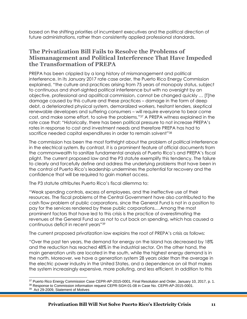based on the shifting priorities of incumbent executives and the political direction of future administrations, rather than consistently applied professional standards.

#### **The Privatization Bill Fails to Resolve the Problems of Mismanagement and Political Interference That Have Impeded the Transformation of PREPA**

PREPA has been crippled by a long history of mismanagement and political interference. In its January 2017 rate case order, the Puerto Rico Energy Commission explained, "the culture and practices arising from 75 years of monopoly status, subject to continuous and short-sighted political interference but with no oversight by an objective, professional and apolitical commission, cannot be changed quickly … [T]he damage caused by this culture and these practices – damage in the form of deep debt, a deteriorated physical system, demoralized workers, hesitant lenders, skeptical renewable developers and suffering consumers – will require everyone to bear come cost, and make some effort, to solve the problems."<sup>37</sup> A PREPA witness explained in the rate case that: "Historically, there has been political pressure to not increase PREPA's rates in response to cost and investment needs and therefore PREPA has had to sacrifice needed capital expenditures in order to remain solvent"<sup>38</sup>

The commission has been the most forthright about the problem of political interference in the electrical system. By contrast, it is a prominent feature of official documents from the commonwealth to sanitize fundamental analysis of Puerto Rico's and PREPA's fiscal plight. The current proposed law and the P3 statute exemplify this tendency. The failure to clearly and forcefully define and address the underlying problems that have been in the control of Puerto Rico's leadership undermines the potential for recovery and the confidence that will be required to gain market access.

The P3 statute attributes Puerto Rico's fiscal dilemma to:

"Weak spending controls, excess of employees, and the ineffective use of their resources. The fiscal problems of the Central Government have also contributed to the cash flow problem of public corporations, since the General Fund is not in a position to pay for the services rendered by these public corporations.…Among the most prominent factors that have led to this crisis is the practice of overestimating the revenues of the General Fund so as not to cut back on spending, which has caused a continuous deficit in recent years"<sup>39</sup>

The current proposed privatization law explains the root of PREPA's crisis as follows:

"Over the past ten years, the demand for energy on the Island has decreased by 18% and the reduction has reached 48% in the industrial sector. On the other hand, the main generation units are located in the south, while the highest energy demand is in the north. Moreover, we have a generation system 28 years older than the average in the electric power industry in the United States, and a dependence on oil that makes the system increasingly expensive, more polluting, and less efficient. In addition to this

<sup>38</sup> Response to Commission information request CEPR-SGH-01-08 in Case No. CEPR-AP-2015-0001.

 $\overline{a}$ <sup>37</sup> Puerto Rico Energy Commission Case CEPR-AP-2015-0001, Final Resolution and Order, January 10, 2017, p. 1.

<sup>39</sup> Act 29-2009, Statement of Motives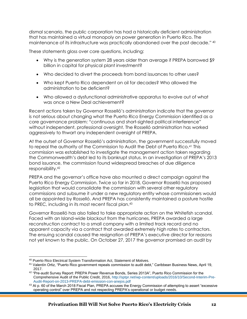dismal scenario, the public corporation has had a historically deficient administration that has maintained a virtual monopoly on power generation in Puerto Rico. The maintenance of its infrastructure was practically abandoned over the past decade." <sup>40</sup>

These statements gloss over core questions, including:

- Why is the generation system 28 years older than average if PREPA borrowed \$9 billion in capital for physical plant investment?
- Who decided to divert the proceeds from bond issuances to other uses?
- Who kept Puerto Rico dependent on oil for decades? Who allowed the administration to be deficient?
- Who allowed a dysfunctional administrative apparatus to evolve out of what was once a New Deal achievement?

Recent actions taken by Governor Rosselló's administration indicate that the governor is not serious about changing what the Puerto Rico Energy Commission identified as a core governance problem: "continuous and short-sighted political interference" without independent, professional oversight. The Rosselló administration has worked aggressively to thwart any independent oversight of PREPA.

At the outset of Governor Rosselló's administration, the government successfully moved to repeal the authority of the Commission to Audit the Debt of Puerto Rico.<sup>41</sup> This commission was established to investigate the management action taken regarding the Commonwealth's debt led to its bankrupt status. In an investigation of PREPA's 2013 bond issuance, the commission found widespread breaches of due diligence responsibility.<sup>42</sup>

PREPA and the governor's office have also mounted a direct campaign against the Puerto Rico Energy Commission. Twice so far in 2018, Governor Rosselló has proposed legislation that would consolidate the commission with several other regulatory commissions and subsume it under a new regulatory entity whose commissioners would all be appointed by Rosselló. And PREPA has consistently maintained a posture hostile to PREC, including in its most recent fiscal plan.<sup>43</sup>

Governor Rosselló has also failed to take appropriate action on the Whitefish scandal. Faced with an Island-wide blackout from the hurricanes, PREPA awarded a large reconstruction contract to a small company with a limited track record and no apparent capacity via a contract that awarded extremely high rates to contractors. The ensuing scandal caused the resignation of PREPA's executive director for reasons not yet known to the public. On October 27, 2017 the governor promised an audit by

 $\overline{a}$ <sup>40</sup> Puerto Rico Electrical System Transformation Act, Statement of Motives.

<sup>41</sup> Valentín Ortiz, "Puerto Rico government repeals commission to audit debt," Caribbean Business News, April 19, 2017.

<sup>42 &</sup>quot;Pre-audit Survey Report: PREPA Power Revenue Bonds, Series 2013A", Puerto Rico Commission for the Comprehensive Audit of the Public Credit, 2016, http://sptpr.net/wp-content/uploads/2016/10/Second-Interim-Pre-Audit-Report-on-2013-PREPA-debt-emission-con-anejos.pdf

<sup>&</sup>lt;sup>43</sup> At p. 60 of the March 2018 Fiscal Plan, PREPA accuses the Energy Commission of attempting to assert "excessive operating control" over PREPA and not respecting PREPA's operational or budget needs.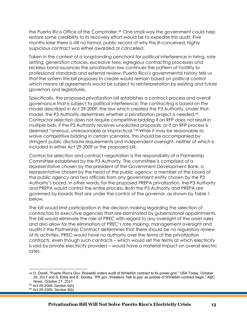the Puerto Rico Office of the Comptroller.<sup>44</sup> One small way the government could help restore some credibility to its recovery effort would be to expedite this audit. Five months later there is still no formal, public record of why this ill-conceived, highly suspicious contract was either awarded or cancelled.

Taken in the context of a longstanding penchant for political interference in hiring, rate setting, generation choices, excessive fees, egregious contracting processes and reckless bond issuances the privatization law continues the pattern of hostility to professional standards and external review. Puerto Rico's governmental history tells us that the system this bill proposes to create would remain based on political control which means all agreements would be subject to reinterpretation by existing and future governors and legislatures.

Specifically, the proposed privatization bill establishes a contract process and overall governance that is subject to political interference. The contracting is based on the model described in Act 29-2009, the law which created the P3 Authority. Under that model, the P3 Authority determines whether a privatization project is needed.<sup>45</sup> Contractor selection does not require competitive bidding if an RFP does not result in multiple bids, if the P3 Authority receives unsolicited proposals, or if an RFP process is deemed "onerous, unreasonable or impractical."<sup>46</sup> While it may be reasonable to waive competitive bidding in certain scenarios, this should be accompanied by stringent public disclosure requirements and independent oversight, neither of which is included in either Act 29-2009 or the proposed bill.

Contractor selection and contract negotiation is the responsibility of a Partnership Committee established by the P3 Authority. The committee is comprised of a representative chosen by the president of the Government Development Bank, a representative chosen by the head of the public agency, a member of the board of the public agency and two officials from any government entity chosen by the P3 Authority's board. In other words, for the proposed PREPA privatization, the P3 Authority and PREPA would control the entire process. Both the P3 Authority and PREPA are governed by boards that are under the control of the governor, as shown by Table 1 below.

The bill would limit participation in the decision making regarding the selection of contractors to executive agencies that are dominated by gubernatorial appointments. The bill would eliminate the role of PREC with regard to any oversight of the asset sales and also allow for the elimination of PREC's rate making, management oversight and audits if the Partnership Contract determines that there should be no regulatory review of its activities. PREC would have no authority over the terms of the privatization contracts, even though such contracts – which would set the terms at which electricity is sold by private electricity providers – would have a material impact on overall electric rates.

 $\overline{a}$ 

<sup>44</sup> [O.](https://www.usatoday.com/story/news/world/2017/10/26/puerto-ricos-gov-rossello-orders-audit-whitefish-contract-fix-power-grid/803095001/) Dorell, "Puerto Rico's Gov. Rosselló orders audit of Whitefish contract to fix power grid," USA Today, October 26, 2017 and S. Ebbs and E. Dooley, "PR gov. threatens 'hell to pay' as probes of Whitefish contract begin," ABC News, October 27, 2017.

<sup>45</sup> Act 29-2009, Section 6(b)

<sup>46</sup> Act 29-2009, Section 9(b)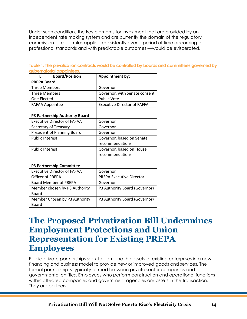Under such conditions the key elements for investment that are provided by an independent rate making system and are currently the domain of the regulatory commission — clear rules applied consistently over a period of time according to professional standards and with predictable outcomes —would be eviscerated.

| <b>Board/Position</b><br>1.        | <b>Appointment by:</b>             |
|------------------------------------|------------------------------------|
| <b>PREPA Board</b>                 |                                    |
| <b>Three Members</b>               | Governor                           |
| <b>Three Members</b>               | Governor, with Senate consent      |
| One Elected                        | <b>Public Vote</b>                 |
| <b>FAFAA Appointee</b>             | <b>Executive Director of FAFFA</b> |
|                                    |                                    |
| P3 Partnership Authority Board     |                                    |
| <b>Executive Director of FAFAA</b> | Governor                           |
| Secretary of Treasury              | Governor                           |
| President of Planning Board        | Governor                           |
| <b>Public Interest</b>             | Governor, based on Senate          |
|                                    | recommendations                    |
| <b>Public Interest</b>             | Governor, based on House           |
|                                    | recommendations                    |
|                                    |                                    |
| <b>P3 Partnership Committee</b>    |                                    |
| <b>Executive Director of FAFAA</b> | Governor                           |
| Officer of PREPA                   | <b>PREPA Executive Director</b>    |
| <b>Board Member of PREPA</b>       | Governor                           |
| Member chosen by P3 Authority      | P3 Authority Board (Governor)      |
| Board                              |                                    |
| Member Chosen by P3 Authority      | P3 Authority Board (Governor)      |
| <b>Board</b>                       |                                    |

**Table 1. The privatization contracts would be controlled by boards and committees governed by gubernatorial appointees.**

## **The Proposed Privatization Bill Undermines Employment Protections and Union Representation for Existing PREPA Employees**

Public-private partnerships seek to combine the assets of existing enterprises in a new financing and business model to provide new or improved goods and services. The formal partnership is typically formed between private sector companies and governmental entities. Employees who perform construction and operational functions within affected companies and government agencies are assets in the transaction. They are partners.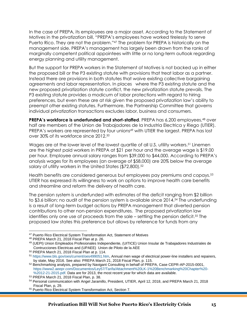In the case of PREPA, its employees are a major asset. According to the Statement of Motives in the privatization bill, "PREPA's employees have worked tirelessly to serve Puerto Rico. They are not the problem."<sup>47</sup> The problem for PREPA is historically on the management side. PREPA's management has largely been drawn from the ranks of marginally competent political appointees with little or no long-term outlook regarding energy planning and utility management.

But the support for PREPA workers in the Statement of Motives is not backed up in either the proposed bill or the P3 existing statute with provisions that treat labor as a partner. Instead there are provisions in both statutes that waive existing collective bargaining agreements and labor representation. In places where the P3 existing statute and the new proposed privatization statute conflict, the new privatization statute prevails. The P3 existing statute provides a modicum of labor protections with regard to hiring preferences, but even these are at risk given the proposed privatization law's ability to preempt other existing statutes. Furthermore, the Partnership Committee that governs individual privatization transactions excludes labor, business and consumers.

**PREPA's workforce is underfunded and short-staffed. PREPA has 6,200 employees,<sup>48</sup> over** half are members of the Union de Trabajadores de la Industria Electrica y Riego (UTIER). PREPA's workers are represented by four unions<sup>49</sup> with UTIER the largest. PREPA has lost over 30% of its workforce since 2012.<sup>50</sup>

Wages are at the lower level of the lowest quartile of all U.S. utility workers.<sup>51</sup> Linemen are the highest paid workers in PREPA at \$21 per hour and the average wage is \$19.00 per hour. Employee annual salary ranges from \$39,000 to \$44,000. According to PREPA's analysis wages for its employees (an average of \$58,000) are 20% below the average salary of utility workers in the United States (\$72,800).<sup>52</sup>

Health benefits are considered generous but employees pay premiums and copays.<sup>53</sup> UTIER has expressed its willingness to work on options to improve health care benefits and streamline and reform the delivery of health care.

The pension system is underfunded with estimates of the deficit ranging from \$2 billion to \$3.6 billion; no audit of the pension system is available since 2014. <sup>54</sup> The underfunding is a result of long-term budget actions by PREPA management that diverted pension contributions to other non-pension expenditures. The proposed privatization law identifies only one use of proceeds from the sale – settling the pension deficit.<sup>55</sup> The proposed law states this preference but allows by reference for funds from any

 <sup>47</sup> Puerto Rico Electrical System Transformation Act, Statement of Motives

<sup>48</sup> PREPA March 21, 2018 Fiscal Plan at p. 26.

<sup>49</sup> (UEPI) Union Empleados Profesionales Independiente, (UITICE) Union Insular de Trabajadores Industriales de Contrucciones Electricas and (UPAEE) Union de Piloto de la AEE

<sup>50</sup> PREPA March 21, 2018 Fiscal Plan at p. 114.

<sup>51</sup> [https://www.bls.gov/oes/current/oes499051.htm,](https://www.bls.gov/oes/current/oes499051.htm) Annual men wage of electrical power-line installers and repairers, by state, May 2016. See also: [PREPA](http://www.aafaf.pr.gov/assets/prepa-fiscal-plan-march-2018---draft.pdf) March 21, 2018 Fiscal Plan, p. 115.

<sup>52</sup> Benchmarking analysis, prepared by Navigant Consulting in behalf of PREPA, Case CEPR-AP-2015-0001, [https://www2.aeepr.com/Documentos/Ley57/Tarifa/Attachment%20LK-1%20Benchmarking%20Chapter%20-](https://www2.aeepr.com/Documentos/Ley57/Tarifa/Attachment%20LK-1%20Benchmarking%20Chapter%20-%2012-21-2015.pdf) [%2012-21-2015.pdf.](https://www2.aeepr.com/Documentos/Ley57/Tarifa/Attachment%20LK-1%20Benchmarking%20Chapter%20-%2012-21-2015.pdf) Data are for 2013, the most recent year for which data are available.

<sup>53</sup> [PREPA](http://www.aafaf.pr.gov/assets/prepa-fiscal-plan-march-2018---draft.pdf) March 21, 2018 Fiscal Plan, p. 38.

<sup>54</sup> Personal communication with Angel Jaramillo, President, UTIER, April 12, 2018, and PREPA March 21, 2018 Fiscal Plan, p, 29.

<sup>55</sup> Puerto Rico Electrical System Transformation Act, Section 7.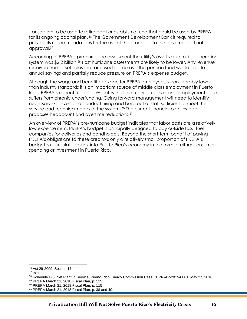transaction to be used to retire debt or establish a fund that could be used by PREPA for its ongoing capital plan. <sup>56</sup> The Government Development Bank is required to provide its recommendations for the use of the proceeds to the governor for final approval.<sup>57</sup>

According to PREPA's pre-hurricane assessment the utility's asset value for its generation system was \$2.2 billion.<sup>58</sup> Post hurricane assessments are likely to be lower. Any revenue received from asset sales that are used to improve the pension fund would create annual savings and partially reduce pressure on PREPA's expense budget.

Although the wage and benefit package for PREPA employees is considerably lower than industry standards it is an important source of middle class employment in Puerto Rico. PREPA's current fiscal plan<sup>59</sup> states that the utility's skill level and employment base suffers from chronic underfunding. Going forward management will need to identify necessary skill levels and conduct hiring and build out of staff sufficient to meet the service and technical needs of the system.<sup>60</sup> The current financial plan instead proposes headcount and overtime reductions.<sup>61</sup>

An overview of PREPA's pre-hurricane budget indicates that labor costs are a relatively low expense item. PREPA's budget is principally designed to pay outside fossil fuel companies for deliveries and bondholders. Beyond the short-term benefit of paying PREPA's obligations to these creditors only a relatively small proportion of PREPA's budget is recirculated back into Puerto Rico's economy in the form of either consumer spending or investment in Puerto Rico.

<sup>56</sup> Act 29-2009, Section 17

<sup>57</sup> Ibid.

<sup>58</sup> Schedule E-5, Net Plant In Service, Puerto Rico Energy Commission Case CEPR-AP-2015-0001, May 27, 2016.

<sup>59</sup> PREPA March 21, 2018 Fiscal Plan, p. 115.

<sup>60</sup> PREPA March 21, 2018 Fiscal Plan, p. 115

<sup>61</sup> PREPA March 21, 2018 Fiscal Plan, p. 38 and 40.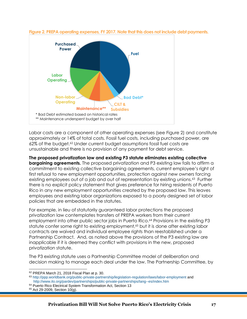

**Figure 2. PREPA operating expenses, FY 2017. Note that this does not include debt payments.** 

Labor costs are a component of other operating expenses (see Figure 2) and constitute approximately or 14% of total costs. Fossil fuel costs, including purchased power, are 62% of the budget.<sup>62</sup> Under current budget assumptions fossil fuel costs are unsustainable and there is no provision of any payment for debt service.

**The proposed privatization law and existing P3 statute eliminates existing collective bargaining agreements.** The proposed privatization and P3 existing law fails to affirm a commitment to existing collective bargaining agreements, current employee's right of first refusal to new employment opportunities, protection against new owners forcing existing employees out of a job and out of representation by existing unions.<sup>63</sup> Further there is no explicit policy statement that gives preference for hiring residents of Puerto Rico in any new employment opportunities created by the proposed law. This leaves employees and existing labor organizations exposed to a poorly designed set of labor policies that are embedded in the statutes.

For example, in lieu of statutorily guaranteed labor protections the proposed privatization law contemplates transfers of PREPA workers from their current employment into other public sector jobs in Puerto Rico.<sup>64</sup> Provisions in the existing P3 statute confer some right to existing employment,<sup>65</sup> but it is done after existing labor contracts are waived and individual employee rights than reestablished under a Partnership Contract. And, as noted above the provisions of the P3 existing law are inapplicable if it is deemed they conflict with provisions in the new, proposed privatization statute.

The P3 existing statute uses a Partnership Committee model of deliberation and decision making to manage each deal under the law. The Partnership Committee, by

 $\overline{a}$ <sup>62</sup> PREPA March 21, 2018 Fiscal Plan at p. 30.

<sup>63</sup> <http://ppp.worldbank.org/public-private-partnership/legislation-regulation/laws/labor-employment> and http://www.ilo.org/pardev/partnerships/public-private-partnerships/lang--es/index.htm

<sup>&</sup>lt;sup>64</sup> Puerto Rico Electrical System Transformation Act, Section 13

<sup>65</sup> Act 29-2009, Section 10(g).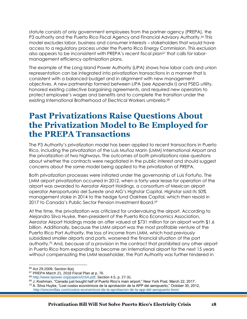statute consists of only government employees from the partner agency (PREPA), the P3 authority and the Puerto Rico Fiscal Agency and Financial Advisory Authority.<sup>66</sup> This model excludes labor, business and consumer interests – stakeholders that would have access to a regulatory process under the Puerto Rico Energy Commission. This exclusion also appears to be inconsistent with PREPA's recent fiscal plan<sup>67</sup> that calls for labormanagement efficiency optimization plans.

The example of the Long Island Power Authority (LIPA) shows how labor costs and union representation can be integrated into privatization transactions in a manner that is consistent with a balanced budget and in alignment with new management objectives. A new partnership formed between LIPA (see Appendix I) and PSEG utility, honored existing collective bargaining agreements, and required new operators to protect employee's wages and benefits and to complete the transition under the existing International Brotherhood of Electrical Workers umbrella.<sup>68</sup>

## **Past Privatizations Raise Questions About the Privatization Model to Be Employed for the PREPA Transactions**

The P3 Authority's privatization model has been applied to recent transactions in Puerto Rico, including the privatization of the Luis Muñoz Marin (LMM) International Airport and the privatization of two highways. The outcomes of both privatizations raise questions about whether the contracts were negotiated in the public interest and should suggest concerns about the same model being applied to the privatization of PREPA.

Both privatization processes were initiated under the governorship of Luis Fortuño. The LMM airport privatization occurred in 2012, when a forty-year lease for operation of the airport was awarded to Aerostar Airport Holdings, a consortium of Mexican airport operator Aeroportuario del Sureste and AIG's Highstar Capital. Highstar sold its 50% management stake in 2014 to the hedge fund Oaktree Capital, which then resold in 2017 to Canada's Public Sector Pension Investment Board.<sup>69</sup>

At the time, the privatization was criticized for undervaluing the airport. According to Alejandro Silva Huyke, then-president of the Puerto Rico Economics Association, Aerostar Airport Holdings made an offer valued at \$731 million for an airport worth \$1.6 billion. Additionally, because the LMM airport was the most profitable venture of the Puerto Rico Port Authority, the loss of income from LMM, which had previously subsidized smaller airports and ports, worsened the financial situation of the port authority.<sup>70</sup> And, because of a provision in the contract that prohibited any other airport in Puerto Rico from expanding to become an international airport for the next 15 years without compensating the LMM leaseholder, the Port Authority was further hindered in

<sup>66</sup> [Act](http://www.p3.pr.gov/assets/law29-2009english.pdf) 29-2009, Section 8(a)

<sup>67</sup> PREPA March 21, 2018 Fiscal Plan at p. 76.

<sup>68</sup> [http://www.lipower.org/papers/OSA.pdf,](http://www.lipower.org/papers/OSA.pdf) Section 4.5, p. 27-31.

<sup>69</sup> J. Koshman, "Canada just bought half of Puerto Rico's main airport," New York Post, March 22, 2017.

<sup>70</sup> A. Silva Huyke, "Lost costso económicos de la aprobación de la APP del aeropuerto," October 30, 2012, http://sincomillas.com/costos-economicos-de-la-aprobacion-de-la-app-del-aeropuerto-lmm/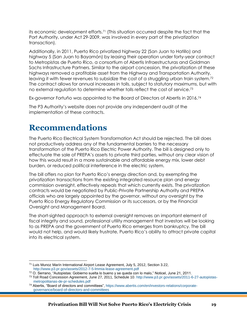its economic development efforts.<sup>71</sup> (This situation occurred despite the fact that the Port Authority, under Act 29-2009, was involved in every part of the privatization transaction).

Additionally, in 2011, Puerto Rico privatized highway 22 (San Juan to Hatillo) and highway 5 (San Juan to Bayamón) by leasing their operation under forty-year contract to Metropistas de Puerto Rico, a consortium of Abertis Infraestructuras and Goldman Sachs Infrastructure Partners. Similar to the airport concession, the privatization of these highways removed a profitable asset from the Highway and Transportation Authority, leaving it with fewer revenues to subsidize the cost of a struggling urban train system.<sup>72</sup> The contract allows for annual increases in tolls, subject to statutory maximums, but with no external regulation to determine whether tolls reflect the cost of service.<sup>73</sup>

Ex-governor Fortuño was appointed to the Board of Directors of Abertis in 2016.<sup>74</sup>

The P3 Authority's website does not provide any independent audit of the implementation of these contracts.

## **Recommendations**

The Puerto Rico Electrical System Transformation Act should be rejected. The bill does not productively address any of the fundamental barriers to the necessary transformation of the Puerto Rico Electric Power Authority. The bill is designed only to effectuate the sale of PREPA's assets to private third parties, without any clear vision of how this would result in a more sustainable and affordable energy mix, lower debt burden, or reduced political interference in the electric system.

The bill offers no plan for Puerto Rico's energy direction and, by exempting the privatization transactions from the existing integrated resource plan and energy commission oversight, effectively repeals that which currently exists. The privatization contracts would be negotiated by Public-Private Partnership Authority and PREPA officials who are largely appointed by the governor, without any oversight by the Puerto Rico Energy Regulatory Commission or its successors, or by the Financial Oversight and Management Board.

The short-sighted approach to external oversight removes an important element of fiscal integrity and sound, professional utility management that investors will be looking to as PREPA and the government of Puerto Rico emerges from bankruptcy. The bill would not help, and would likely frustrate, Puerto Rico's ability to attract private capital into its electrical system.

 <sup>71</sup> Luis Munoz Marín International Airport Lease Agreement, July 5, 2012, Section 3.22, http://www.p3.pr.gov/assets/2012-7-5-lmmia-lease-agreement.pdf

<sup>72</sup> O. Serrano, "Autopistas: Gobierno suelta lo bueno y se queda con lo malo," Noticel, June 21, 2011.

<sup>73</sup> Toll Road Concession Agreement, June 27, 2011, Schedule 10. http://www.p3.pr.gov/assets/2011-6-27-autopistasmetropolitanas-de-pr-schedules.pdf

<sup>74</sup> Abertis, "Board of directors and committees", https://www.abertis.com/en/investors-relations/corporategovernance/board-of-directors-and-committees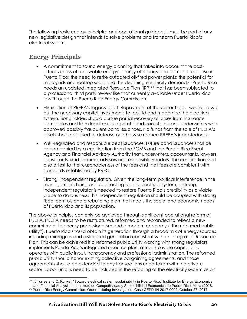The following basic energy principles and operational guideposts must be part of any new legislative design that intends to solve problems and transform Puerto Rico's electrical system:

#### **Energy Principals**

 $\overline{a}$ 

- A commitment to sound energy planning that takes into account the costeffectiveness of renewable energy, energy efficiency and demand response in Puerto Rico; the need to retire outdated oil-fired power plants; the potential for microgrids and rooftop solar; and the declining electricity demand.<sup>75</sup> Puerto Rico needs an updated Integrated Resource Plan (IRP)<sup>76</sup> that has been subjected to a professional third party review like that currently available under Puerto Rico law through the Puerto Rico Energy Commission.
- Elimination of PREPA's legacy debt. Repayment of the current debt would crowd out the necessary capital investments to rebuild and modernize the electrical system. Bondholders should pursue partial recovery of losses from insurance companies and from legal cases against bond consultants and underwriters who approved possibly fraudulent bond issuances. No funds from the sale of PREPA's assets should be used to defease or otherwise reduce PREPA's indebtedness.
- Well-regulated and responsible debt issuances. Future bond issuances shall be accompanied by a certification from the FOMB and the Puerto Rico Fiscal Agency and Financial Advisory Authority that underwriters, accountants, lawyers, consultants, and financial advisors are responsible vendors. The certification shall also attest to the reasonableness of the fees and that fees are consistent with standards established by PREC.
- Strong, independent regulation. Given the long-term political interference in the management, hiring and contracting for the electrical system, a strong, independent regulator is needed to restore Puerto Rico's credibility as a viable place to do business. This independent regulation should be coupled with strong fiscal controls and a rebuilding plan that meets the social and economic needs of Puerto Rico and its population.

The above principles can only be achieved through significant operational reform of PREPA. PREPA needs to be restructured, reformed and rebranded to reflect a new commitment to energy professionalism and a modern economy ("the reformed public utility"). Puerto Rico should obtain its generation through a broad mix of energy sources, including microgrids and distributed generation consistent with an Integrated Resource Plan. This can be achieved if a reformed public utility working with strong regulators implements Puerto Rico's integrated resource plan, attracts private capital and operates with public input, transparency and professional administration. The reformed public utility should honor existing collective bargaining agreements, and those agreements should be extended to any transactions undertaken with the private sector. Labor unions need to be included in the retooling of the electricity system as an

 $75$  T. Torres and C. Kunkel, "Toward electrical system sustainability in Puerto Rico," Institute for Energy Economics and Financial Analysis and Instituto de Competitividad y Sostenibilidad Economica de Puerto Rico, March 2018. <sup>76</sup> Puerto Rico Energy Commission, Order Initiating Investigation, Case CEPR-IN-2017-0002, October 27, 2017.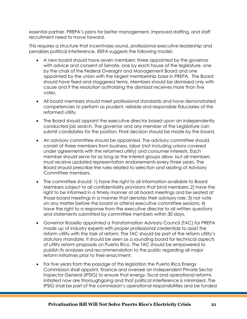essential partner. PREPA's plans for better management, improved staffing, and staff recruitment need to move forward.

This requires a structure that incentivizes sound, professional executive leadership and penalizes political interference. IEEFA suggests the following model:

- A new board should have seven members: three appointed by the governor with advice and consent of Senate, one by each house of the legislature, one by the chair of the Federal Oversight and Management Board and one appointed by the union with the largest membership base in PREPA. The Board should have fixed and staggered terms. Members should be dismissed only with cause and if the resolution authorizing the dismissal receives more than five votes.
- All board members should meet professional standards and have demonstrated competencies to perform as prudent, reliable and responsible fiduciaries of the reformed utility.
- The Board should appoint the executive director based upon an independently conducted job search. The governor and any member of the Legislature can submit candidates for the position. Final decision should be made by the board.
- An advisory committee should be appointed. The advisory committee should consist of three members from business, labor (not including unions covered under agreements with the reformed utility) and consumer interests. Each member should serve for as long as the interest groups allow, but all members must receive updated representation endorsements every three years. The Board should prescribe the rules related to selection and seating of Advisory Committee members.
- The committee should: 1) have the right to all information available to Board Members subject to all confidentiality provisions that bind members; 2) have the right to be informed in a timely manner of all board meetings and be seated at those board meetings in a manner that denotes their advisory role; 3) not vote on any matter before the board or attend executive committee sessions; 4) have the right to a response from the executive director to all written questions and statements submitted by committee members within 30 days.
- Governor Rossello appointed a Transformation Advisory Council (TAC) for PREPA made up of industry experts with proper professional credentials to assist the reform utility with the task of reform. The TAC should be part of the reform utility's statutory mandate. It should be seen as a sounding board for technical aspects of utility reform proposals on Puerto Rico. The TAC should be empowered to publish its analyses and recommendation to the public regarding all major reform initiatives prior to their enactment.
- For five years from the passage of this legislation the Puerto Rico Energy Commission shall appoint, finance and oversee an Independent Private Sector Inspector General (IPSIG) to ensure that energy, fiscal and operational reforms initiated now are thoroughgoing and that political interference is minimized. The IPSIG shall be part of the commission's operational responsibilities and be funded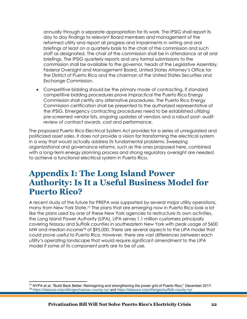annually through a separate appropriation for its work. The IPSIG shall report its day to day findings to relevant Board members and management of the reformed utility and report all progress and impairments in writing and oral briefings at least on a quarterly basis to the chair of the commission and such staff as designated. The chair of the commission shall be in attendance at all oral briefings. The IPSIG quarterly reports and any formal submissions to the commission shall be available to the governor, heads of the Legislative Assembly, Federal Oversight and Management Board, United States Attorney's Office for the District of Puerto Rico and the chairman of the United States Securities and Exchange Commission.

 Competitive bidding should be the primary mode of contracting. If standard competitive bidding procedures prove impractical the Puerto Rico Energy Commission shall certify any alternative procedures. The Puerto Rico Energy Commission certification shall be presented to the authorized representative of the IPSIG. Emergency contracting procedures need to be established utilizing pre-screened vendor lists, ongoing updates of vendors and a robust post- audit review of contract awards, cost and performance.

The proposed Puerto Rico Electrical System Act provides for a series of unregulated and politicized asset sales. It does not provide a vision for transforming the electrical system in a way that would actually address its fundamental problems. Sweeping organizational and governance reforms, such as the ones proposed here, combined with a long-term energy planning process and strong regulatory oversight are needed to achieve a functional electrical system in Puerto Rico.

## **Appendix I: The Long Island Power Authority: Is It a Useful Business Model for Puerto Rico?**

A recent study of the future for PREPA was supported by several major utility operations, many from New York State.<sup>77</sup> The plans that are emerging now in Puerto Rico look a lot like the plans used by one of these New York agencies to restructure its own activities, the Long Island Power Authority (LIPA). LIPA serves 1.1 million customers principally covering Nassau and Suffolk counties in southeastern New York with peak usage of 5600 MW and median income<sup>78</sup> of \$95,000. There are several aspects to the LIPA model that could prove useful to Puerto Rico. However, there are vast differences between each utility's operating landscape that would require significant amendment to the LIPA model if some of its component parts are to be of use.

 $\overline{a}$ <sup>77</sup> NYPA et al, "Build Back Better: Reimagining and strengthening the power grid of Puerto Rico," December 2017. <sup>78</sup> <https://datausa.io/profile/geo/nassau-county-ny/> and https://datausa.io/profile/geo/suffolk-county-ny/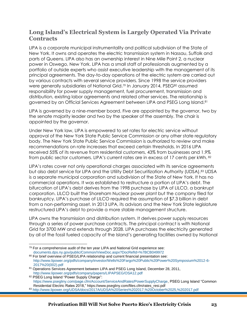#### **Long Island's Electrical System is Largely Operated Via Private Contracts**

LIPA is a corporate municipal instrumentality and political subdivision of the State of New York. It owns and operates the electric transmission system in Nassau, Suffolk and parts of Queens. LIPA also has an ownership interest in Nine Mile Point 2, a nuclear power in Oswego, New York. LIPA has a small staff of professionals augmented by a portfolio of outside experts who assist executive leadership with the management of its principal agreements. The day-to-day operations of the electric system are carried out by various contracts with several service providers. Since 1998 the service providers were generally subsidiaries of National Grid.<sup>79</sup> In January 2014, PSEG<sup>80</sup> assumed responsibility for power supply management, fuel procurement, transmission and distribution, existing labor agreements and related other services. The relationship is governed by an Official Services Agreement between LIPA and PSEG Long Island.<sup>81</sup>

LIPA is governed by a nine-member board. Five are appointed by the governor, two by the senate majority leader and two by the speaker of the assembly. The chair is appointed by the governor.

Under New York law, LIPA is empowered to set rates for electric service without approval of the New York State Public Service Commission or any other state regulatory body. The New York State Public Service Commission is authorized to review and make recommendations on rate increases that exceed certain thresholds. In 2016 LIPA received 55% of its revenue from residential customers, 43% from businesses and 1.9% from public sector customers. LIPA's current rates are in excess of 17 cents per kWh. <sup>82</sup>

LIPA's rates cover not only operational charges associated with its service agreements but also debt service for LIPA and the Utility Debt Securitization Authority (UDSA).<sup>83</sup> UDSA is a separate municipal corporation and subdivision of the State of New York. It has no commercial operations. It was established to restructure a portion of LIPA's debt. The bifurcation of LIPA's debt derives from the 1998 purchase by LIPA of LILCO, a bankrupt corporation. LILCO built the Shoreham Nuclear power plant but the company filed for bankruptcy. LIPA's purchase of LILCO required the assumption of \$7.3 billion in debt from a non-performing asset. In 2013 LIPA, its advisors and the New York State legislature restructured LIPA's debt to provide a more stable management structure.

LIPA owns the transmission and distribution system. It derives power supply resources through a series of power purchase contracts. The principal contract is with National Grid for 3700 MW and extends through 2028. LIPA purchases the electricity generated by all of the fossil fueled capacity of the Island's generating facilities owned by National

 $\overline{a}$  $79$  For a comprehensive audit of the ten year LIPA and National Grid experience see: documents.dps.ny.gov/public/Common/ViewDoc.aspx?DocRefId=%7BCB049972

<sup>80</sup> For brief overview of PSEG/LIPA relationship and current financial presentation see: http://www.lipower.org/pdfs/company/investor/Wells%20Fargo%20Public%20Power%20Symposium%2012-6- 2017%20(002).pdf

<sup>81</sup> Operations Services Agreement between LIPA and PSEG Long Island, December 28, 2011, http://www.lipower.org/pdfs/company/papers/LIPAPSEG/OSA12.pdf

<sup>82</sup> PSEG Long Island "Power Supply Charge": [https://www.psegliny.com/page.cfm/Account/ServiceAndRates/PowerSupplyCharge,](https://www.psegliny.com/page.cfm/Account/ServiceAndRates/PowerSupplyCharge) PSEG Long Island "Common Residential Electric Rates 2018," https://www.psegliny.com/files.cfm/rates\_resi.pdf

<sup>83</sup> http://www.lipower.org/UDSA/docs/2017A/UDSA%20Series%202017,%20October%2025,%202017.pdf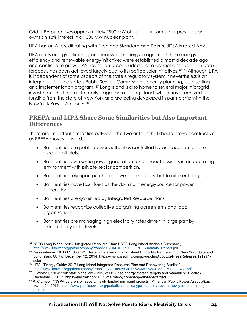Grid. LIPA purchases approximately 1900 MW of capacity from other providers and owns an 18% interest in a 1300 MW nuclear plant.

LIPA has an A- credit rating with Fitch and Standard and Poor's. UDSA is rated AAA.

LIPA offers energy efficiency and renewable energy programs.<sup>84</sup> These energy efficiency and renewable energy initiatives were established almost a decade ago and continue to grow. LIPA has recently concluded that a dramatic reduction in peak forecasts has been achieved largely due to its rooftop solar initiatives. <sup>85</sup> <sup>86</sup> Although LIPA is independent of some aspects of the state's regulatory system it nevertheless is an integral part of the state's Public Service Commission's energy planning, goal setting and implementation program. <sup>87</sup> Long Island is also home to several major microgrid investments that are at the early stages across Long Island, which have received funding from the state of New York and are being developed in partnership with the New York Power Authority.<sup>88</sup>

#### **PREPA and LIPA Share Some Similarities but Also Important Differences**

There are important similarities between the two entities that should prove constructive as PREPA moves forward.

- Both entities are public power authorities controlled by and accountable to elected officials.
- Both entities own some power generation but conduct business in an operating environment with private sector competition.
- Both entities rely upon purchase power agreements, but to different degrees.
- Both entities have fossil fuels as the dominant energy source for power generation.
- Both entities are governed by Integrated Resource Plans.
- Both entities recognize collective bargaining agreements and labor organizations.
- Both entities are managing high electricity rates driven in large part by extraordinary debt levels.

 84 PSEG Long Island, "2017 Integrated Resource Plan: PSEG Long Island Analysis Summary", http://www.lipower.org/pdfs/company/trans/2017-04-10\_PSEG\_IRP\_Summary\_Report.pdf

<sup>85</sup> Press release: "10,000<sup>th</sup> Solar PV System Installed on Long Island Highlights Partnership of New York State and Long Island Utility," December 12, 2014. https://www.psegliny.com/page.cfm/AboutUs/PressReleases/121214 solar

<sup>86</sup> LIPA, "Energy Guide: 2017 Long Island Integrated Resource Plan and Repowering Studies", http://www.lipower.org/pdfs/company/trans/LIPA\_EnergyGuide%206x9%204\_22\_17%20FINAL.pdf

 $87$  J. Weaver, "New York state signs law – 20% of USA has energy storage targets and mandates", Electrek, December 1, 2017, https://electrek.co/2017/12/01/new-york-energy-storage-targets/

<sup>88</sup> P. Ciampoli, "NYPA partners on several newly-funded microgrid projects," American Public Power Association, March 24, 2017. [https://www.publicpower.org/periodical/article/nypa-partners-several-newly-funded-microgrid](https://www.publicpower.org/periodical/article/nypa-partners-several-newly-funded-microgrid-projects)[projects](https://www.publicpower.org/periodical/article/nypa-partners-several-newly-funded-microgrid-projects)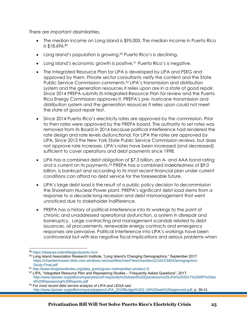There are important dissimilarities.

- The median income on Long Island is \$95,000. The median income in Puerto Rico is \$18,696.<sup>89</sup>
- Long Island's population is growing,<sup>90</sup> Puerto Rico's is declining.
- $\bullet$  Long Island's economic growth is positive,  $91$  Puerto Rico's is negative.
- The Integrated Resource Plan for LIPA is developed by LIPA and PSEG and approved by them. Private sector consultants verify the content and the State Public Service Commission comments.<sup>92</sup> LIPA's transmission and distribution system and the generation resources it relies upon are in a state of good repair. Since 2014 PREPA submits its Integrated Resource Plan for review and the Puerto Rico Energy Commission approves it. PREPA's pre- hurricane transmission and distribution system and the generation resources it relies upon could not meet the state of good repair test.
- Since 2014 Puerto Rico's electricity rates are approved by the commission. Prior to then rates were approved by the PREPA board. The authority to set rates was removed from its Board in 2014 because political interference had rendered the rate design and rate levels dysfunctional. For LIPA the rates are approved by LIPA. Since 2013 the New York State Public Service Commission reviews, but does not approve rate increases. LIPA's rates have been increased (and decreased) sufficient to cover operations and debt payments since 1998.
- LIPA has a combined debt obligation of \$7.3 billion, an A- and AAA bond rating and is current on its payments.<sup>93</sup> PREPA has a combined indebtedness of \$9.0 billion, is bankrupt and according to its most recent financial plan under current conditions can afford no debt service for the foreseeable future.
- LIPA's large debt load is the result of a public policy decision to decommission the Shoreham Nuclear Power plant. PREPA's significant debt load stems from a response to a decade long recession and debt mismanagement that went unnoticed due to stakeholder indifference.
- PREPA has a history of political interference into its workings to the point of chronic and unaddressed operational dysfunction, a system in disrepair and bankruptcy. Large contracting and management scandals related to debt issuances, oil procurements, renewable energy contracts and emergency responses are pervasive. Political interference into LIPA's workings have been controversial but with less negative fiscal implications and serious problems when

 $\overline{a}$ <sup>89</sup> https://datausa.io/profile/geo/puerto-rico/

<sup>90</sup> Long Island Association Research Institute, "Long Island's Changing Demographics," September 2017. https://chambermaster.blob.core.windows.net/userfiles/UserFiles/chambers/2181/CMS/Demographics-Study.Final.pdf

<sup>91</sup> http://www.longislandindex.org/data\_posts/gross-metropolitan-product-2/

<sup>92</sup> LIPA, "Integrated Resource Plan and Repowering Studies – Frequently Asked Questions", 2017. http://www.lipower.org/pdfs/company/trans/Frequently%20Asked%20Questions%20LIPA%202017%20IRP%20an d%20Repowering%20Reports.pdf

<sup>93</sup> For most recent debt service analysis of LIPA and UDSA see: [http://www.lipower.org/pdfs/company/papers/LIPA\\_2018Budget%201-18%20web%20approved.pdf,](http://www.lipower.org/pdfs/company/papers/LIPA_2018Budget%201-18%20web%20approved.pdf) p. 38-41.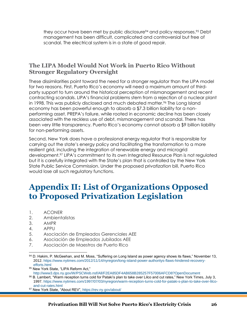they occur have been met by public disclosure<sup>94</sup> and policy responses.<sup>95</sup> Debt management has been difficult, complicated and controversial but free of scandal. The electrical system is in a state of good repair.

#### **The LIPA Model Would Not Work in Puerto Rico Without Stronger Regulatory Oversight**

These dissimilarities point toward the need for a stronger regulator than the LIPA model for two reasons. First, Puerto Rico's economy will need a maximum amount of thirdparty support to turn around the historical perception of mismanagement and recent contracting scandals. LIPA's financial problems stem from a rejection of a nuclear plant in 1998. This was publicly disclosed and much debated matter.<sup>96</sup> The Long Island economy has been powerful enough to absorb a \$7.3 billion liability for a nonperforming asset. PREPA's failure, while rooted in economic decline has been closely associated with the reckless use of debt, mismanagement and scandal. There has been very little transparency. Puerto Rico's economy cannot absorb a \$9 billion liability for non-performing assets.

Second, New York does have a professional energy regulator that is responsible for carrying out the state's energy policy and facilitating the transformation to a more resilient grid, including the integration of renewable energy and microgrid development.<sup>97</sup> LIPA's commitment to its own Integrated Resource Plan is not regulated but it is carefully integrated with the State's plan that is controlled by the New York State Public Service Commission. Under the proposed privatization bill, Puerto Rico would lose all such regulatory functions.

## **Appendix II: List of Organizations Opposed to Proposed Privatization Legislation**

- 1. ACONER
- 2. Ambientalistas
- 3. AMPR
- 4. APPU

- 5. Asociación de Empleados Gerenciales AEE
- 6. Asociación de Empleados Jubilados AEE
- 7. Asociación de Maestros de Puerto Rico

<sup>94</sup> D. Hakim, P. McGeehan, and M. Moss, "Suffering on Long Island as power agency shows its flaws," November 13, 2012. https://www.nytimes.com/2012/11/14/nyregion/long-island-power-authoritys-flaws-hindered-recoveryefforts.html

<sup>95</sup> New York State, "LIPA Reform Act,"

http://www3.dps.ny.gov/W/PSCWeb.nsf/All/F2EA85DF4AB658B285257F57006AFCD8?OpenDocument

<sup>96</sup> B. Lambert, "Warm reception turns cold for Pataki's plan to take over Lilco and cut rates," New York Times, July 3, 1997. https://www.nytimes.com/1997/07/03/nyregion/warm-reception-turns-cold-for-pataki-s-plan-to-take-over-lilcoand-cut-rates.html

<sup>97</sup> New York State, "About REV", https://rev.ny.gov/about/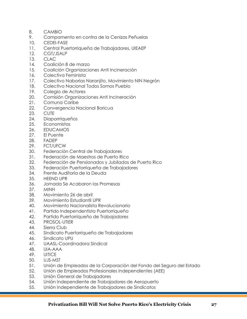- 8. CAMBIO
- 9. Campamento en contra de la Cenizas Peñuelas
- 10. CEDEI-FASE
- 11. Central Puertorriqueña de Trabajadores, UIEAEP
- 12. CGT/JSALP
- 13. CLAC
- 14. Coalición 8 de marzo
- 15. Coalición Organizaciones Anti Incineración
- 16. Colectiva Feminista
- 17. Colectivo Naborias Naranjito, Movimiento NIN Negrón
- 18. Colectivo Nacional Todos Somos Pueblo
- 19. Colegio de Actores
- 20. Comisión Organizaciones Anti Incineración
- 21. Comuna Caribe
- 22. Convergencia Nacional Boricua
- 23. CUTE
- 24. Diaporrriqueños
- 25. Economistas
- 26. EDUCAMOS
- 27. El Puente
- 28. FADEP
- 29. FCT/UFCW
- 30. Federación Central de Trabajadores
- 31. Federación de Maestros de Puerto Rico
- 32. Federación de Pensionados y Jubilados de Puerto Rico
- 33. Federación Puertorriqueña de Trabajadores
- 34. Frente Auditoría de la Deuda
- 35. HEEND UPR
- 36. Jornada Se Acabaron las Promesas
- 37. MINH
- 38. Movimiento 26 de abril
- 39. Movimiento Estudiantil UPR
- 40. Movimiento Nacionalista Revolucionario
- 41. Partido Independentista Puertorriqueño
- 42. Partido Puertorriqueño de Trabajadores
- 43. PROSOL-UTIER
- 44. Sierra Club
- 45. Sindicato Puertorriqueño de Trabajadores
- 46. Sindicato UPU
- 47. UAASL-Coordinadora Sindical
- 48. UIA-AAA
- 49. UITICE
- 50. UJS-MST
- 51. Unión de Empleados de la Corporación del Fondo del Seguro del Estado
- 52. Unión de Empleados Profesionales Independientes (AEE)
- 53. Unión General de Trabajadores
- 54. Unión Independiente de Trabajadores de Aeropuerto
- 55. Unión Independiente de Trabajadores de Sindicatos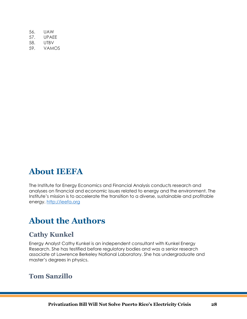| 56.  | UAW   |
|------|-------|
| 57.  | UPAFF |
| 58.  | UTBV  |
| .59. | vamos |

## **About IEEFA**

The Institute for Energy Economics and Financial Analysis conducts research and analyses on financial and economic issues related to energy and the environment. The Institute's mission is to accelerate the transition to a diverse, sustainable and profitable energy. [http://ieefa.org](http://ieefa.org/)

## **About the Authors**

#### **Cathy Kunkel**

Energy Analyst Cathy Kunkel is an independent consultant with Kunkel Energy Research. She has testified before regulatory bodies and was a senior research associate at Lawrence Berkeley National Laboratory. She has undergraduate and master's degrees in physics.

#### **Tom Sanzillo**